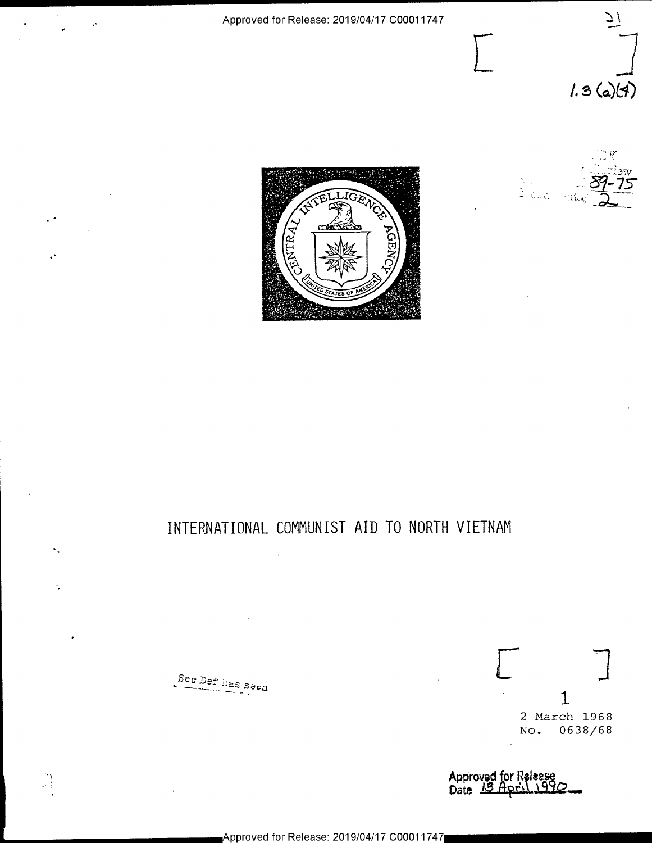





# INTERNATIONAL COMMUNIST AID TO NORTH VIETNAM

Sec Def has  $s$ ee $\bf{a}$ 

 $\begin{bmatrix} 1 \\ -1 \end{bmatrix}$ 

Ñ,

 $L \qquad \qquad \Box$ 1 2 March 1968 No. 0638/68

Approved for Releas Date Thrush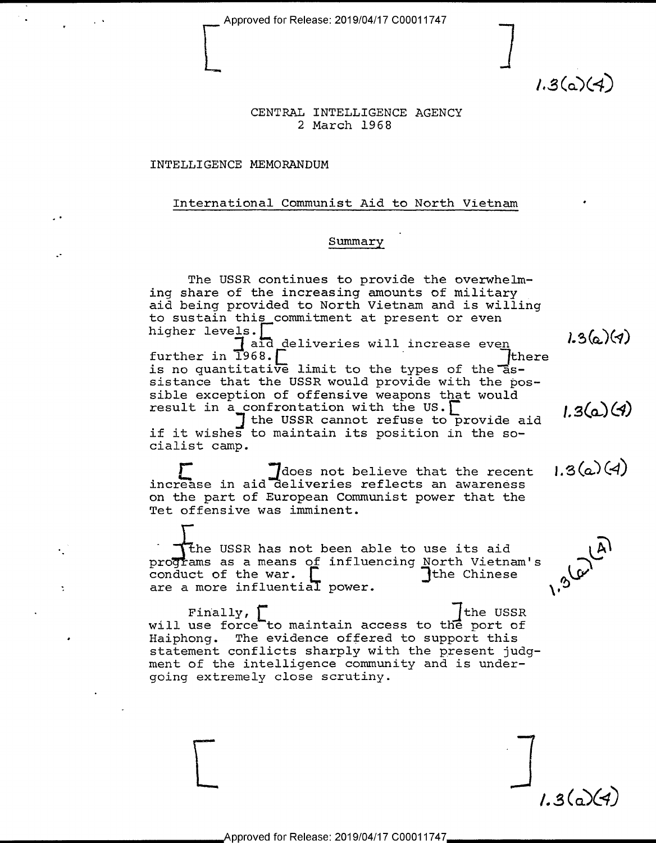$1.3(a)(4)$ 

# CENTRAL INTELLIGENCE AGENCY <sup>2</sup>March l968

### INTELLIGENCE MEMORANDUM

-

'

#### International Communist Aid to North Vietnam '

### Summary

The USSR continues to provide the overwhelm-<br>ing share of the increasing amounts of military aid being provided to North Vietnam and is willing to sustain this commitment at present or even<br>higher levels.

higher levels.<br>Taid deliveries will increase even (36)(4)<br>further in 1968. further in  $\overline{1968}$ .  $\overline{L}$   $\overline{L}$  .  $\overline{L}$  .  $\overline{L}$  .  $\overline{L}$  .  $\overline{L}$  .  $\overline{L}$  .  $\overline{L}$  .  $\overline{L}$  .  $\overline{L}$  .  $\overline{L}$  .  $\overline{L}$  .  $\overline{L}$  .  $\overline{L}$  .  $\overline{L}$  .  $\overline{L}$  .  $\overline{L}$  .  $\overline{L}$  . is no quantitative limit to the types of the "assistance that the USSR would provide with the pos-<br>sible exception of offensive weapons that would

sible exception of offensive weapons that would<br>result in a confrontation with the US.<br>It it wishes to maintain its position in the so-<br>if it wishes to maintain its position in the socialist camp.

 $\Gamma$  :  $\Gamma$  does not believe that the recent  $1.3(a)(4)$ on the part of European Communist power that the Tet offensive was imminent.

the USSR has not been able to use its aid programs as a means of influencing North Vietnam's conduct of the war.  $\begin{bmatrix} 1 & 0 & 0 \\ 0 & 0 & 0 \\ 0 & 0 & 0 \\ 0 & 0 & 0 \\ 0 & 0 & 0 \\ 0 & 0 & 0 \\ 0 & 0 & 0 \\ 0 & 0 & 0 \\ 0 & 0 & 0 \\ 0 & 0 & 0 \\ 0 & 0 & 0 \\ 0 & 0 & 0 \\ 0 & 0 & 0 \\ 0 & 0 & 0 \\ 0 & 0 & 0 \\ 0 & 0 & 0$ conduct of the war.<br>are a more influential power.  $\qquad \qquad \int$ the Chinese

Finally,  $\Gamma$  in  $\Gamma$  is the USSR will use force to maintain access to the port of - Haiphong. The evidence offered to support this statement conflicts sharply with the present judgment of the intelligence community and is undergoing extremely close scrutiny.

 $1.3(a)(4)$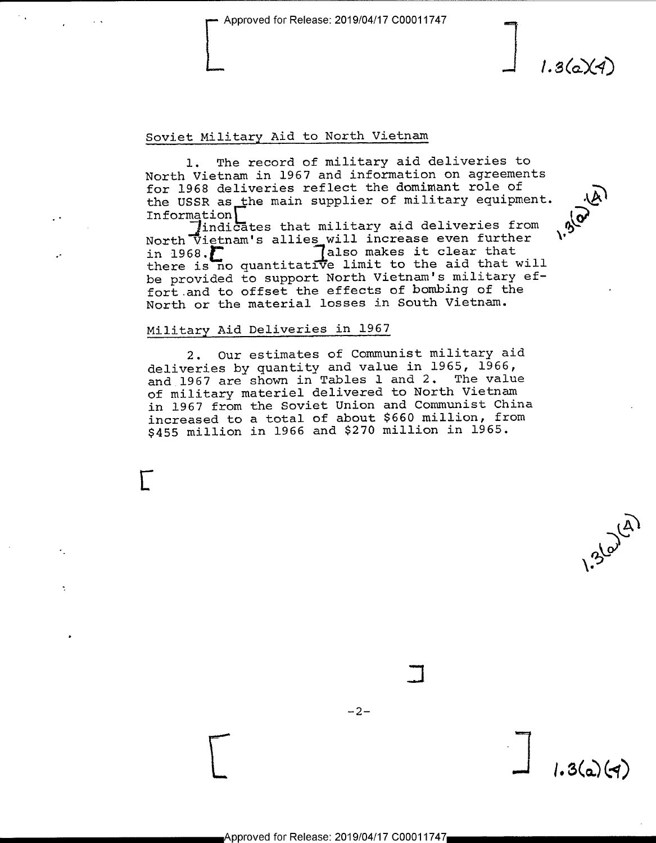# Soviet Military Aid to North Vietnam

l. The record of military aid deliveries to North Vietnam in 1967 and information on agreements for 1968 deliveries reflect the dominant role of<br>the USSR as the main supplier of military equipment.  $\Lambda$ <br>Information indicates that the set of military equipment. the USSR as the main supplier of military equipment. Information

Indicates that military aid deliveries from<br>North Vietnam's allies will increase even further<br>in 1968. in 1968.' :1also makes it clear that there is no quantitative limit to the aid that will be provided to support North Vietnam's military effort and to offset the effects of bombing of the North or the material losses in South Vietnam.

### Military Aid Deliveries in 1967

 $\Gamma$ 

 $\cdot$ 

2. Our estimates of Communist military aid deliveries by quantity and value in 1965, 1966, and 1967 are shown in Tables l and 2. The value of military materiel delivered to North Vietnam in 1967 from the Soviet Union and Communist China increased to a total of about \$660 million, from \$455 million in l966 and \$270 million in 1965.

 $-2-$ 

المعد

 $\overline{\phantom{a}}$ 

 $\mathcal{E}^{\mathcal{S}^{\mathcal{C}'}}$ 

 $1.3(a)(4)$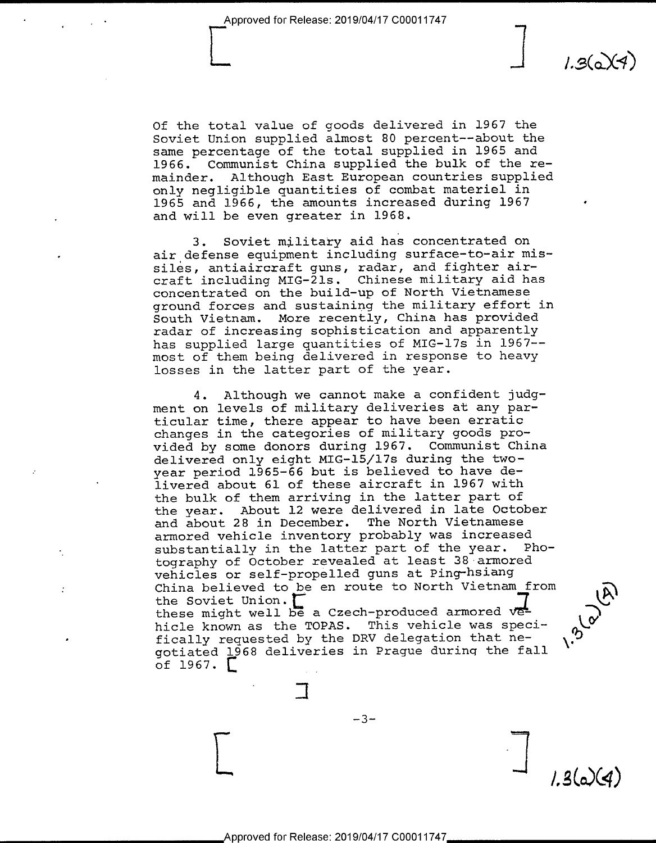-

V ,

 $1.36X4$ 

 $\widehat{G}$ 

 $1.3(a)(4)$ 

Of the total value of goods delivered in 1967 the Soviet Union supplied almost 80 percent——about the same percentage of the total supplied in 1965 and 1966. Communist China supplied the bulk of the re-<br>mainder. Although East European countries supplied Although East European countries supplied only negligible quantities of combat materiel in 1965 and 1966, the amounts increased during 1967 <sup>~</sup> and will be even greater in 1968.

3. Soviet military aid has concentrated on air defense equipment including surface-to-air missiles, antiaircraft guns, radar, and fighter aircraft including MIG—2ls. Chinese military aid has concentrated on the build-up of North Vietnamese ground forces and sustaining the military effort in South Vietnam. More recently, China has provided radar of increasing sophistication and apparently has supplied large quantities of MIG-17s in 1967- most of them being delivered in response to heavy losses in the latter part of the year.

4. Although we cannot make a confident judgment on levels of military deliveries at any particular time, there appear to have been erratic changes in the categories of military goods provided by some donors during l967. Communist China delivered only eight MIG—l5/l7s during the twoyear period 1965-66 but is believed to have delivered about 61 of these aircraft in 1967 with the bulk of them arriving in the latter part of the year. About l2 were delivered in late October and about 28 in December. The North Vietnamese armored vehicle inventory probably was increased<br>substantially in the latter part of the year. Phosubstantially in the latter part of the year. tography of October revealed at least 38-armored vehicles or self-propelled guns at Ping-hsiang China believed to be en route to North Vietnam from<br>the Soviet Union. these might well be a Czech-produced armored vehicle known as the TOPAS. This vehicle was speci-<br>fically requested by the DRV delegation that negotiated 1968 deliveries in Prague during the fall of  $1967.$ 

 $-3-$ 

 $\overline{\phantom{a}}$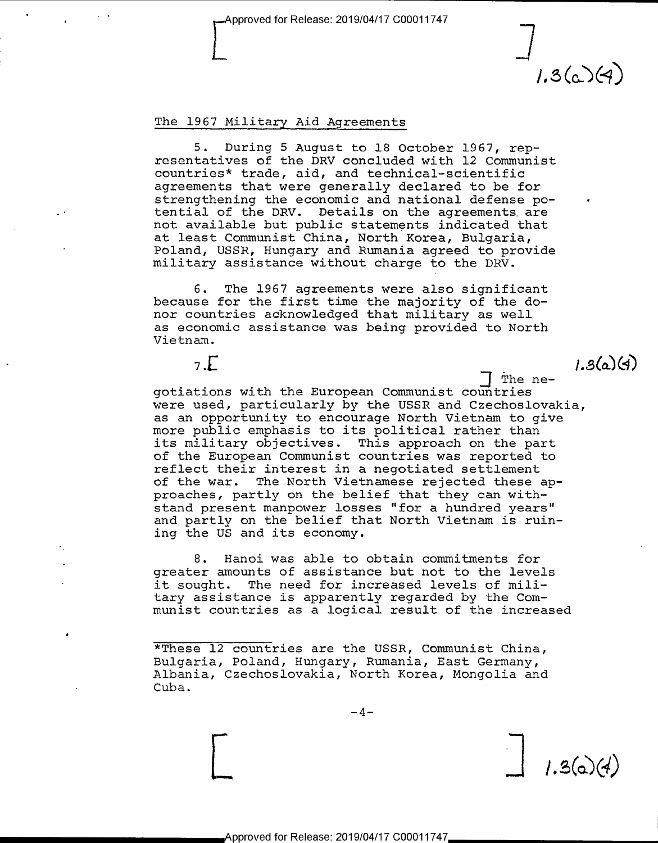## The 1967 Military Aid Agreements

5. During 5 August to 18 October 1967, rep-<br>resentatives of the DRV concluded with 12 Communist countries\* trade, aid, and technical-scientific<br>agreements that were generally declared to be for strengthening the economic and national defense po-<br>tential of the DRV. Details on the agreements are not available but public statements indicated that at least Communist China, North Korea, Bulgaria, military assistance without charge to the DRV.

 $\overline{\phantom{a}}$ 

 $1.3(6)(4)$ 

 $1.3(a)(4)$ 

6. The 1967 agreements were also significant because for the first time the majority of the donor countries acknowledged that military as well as economic assistance was being provided to North Vietnam.

 $\frac{1}{2}$  . Let  $\frac{1}{2}$  . Let  $\frac{1}{2}$  . Let  $\frac{1}{2}$  . Let  $\frac{1}{2}$  . Let  $\frac{1}{2}$  . Let  $\frac{1}{2}$  . Let  $\frac{1}{2}$  . Let  $\frac{1}{2}$  . Let  $\frac{1}{2}$  . Let  $\frac{1}{2}$  . Let  $\frac{1}{2}$  . Let  $\frac{1}{2}$  . Let  $\frac{1}{2}$  . L

-gotiations with the European Communist countries were used, particularly by the USSR and Czechoslovakia, as an opportunity to encourage North Vietnam to give more public emphasis to its political rather than its military objectives. This approach on the part<br>of the European Communist countries was reported to reflect their interest in a negotiated settlement of the war. The North Vietnamese rejected these approaches, partly on the belief that they can withstand present manpower losses "for a hundred years" and partly on the belief that North Vietnam is ruining the US and its economy.

8. Hanoi was able to obtain commitments for greater amounts of assistance but not to the levels it sought. The need for increased levels of mili-<br>tary assistance is apparently regarded by the Communist countries as a logical result of the increased

\*These 12 countries are the USSR, Communist China,<br>Bulgaria, Poland, Hungary, Rumania, East Germany, Albania, Czechoslovakia, North Korea, Mongolia and Cuba.

 $-4-$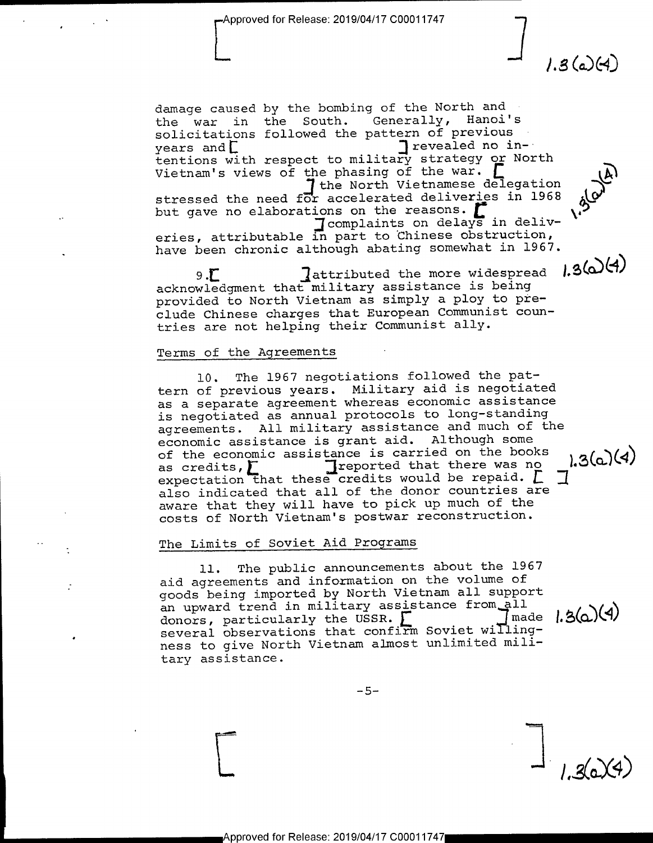$1.3$  (a) (4)

 $1.3(a)(4)$ 

damage caused by the bombing of the North and<br>the war in the South. Generally, Hanoi's the war in the South. solicitations followed the pattern of previous<br>years and  $\Box$  =  $\Box$  =  $\Box$  =  $\Box$  =  $\Box$  =  $\Box$  =  $\Box$  =  $\Box$  =  $\Box$  =  $\Box$  =  $\Box$  =  $\Box$  =  $\Box$  =  $\Box$  =  $\Box$  =  $\Box$  =  $\Box$  =  $\Box$  =  $\Box$  =  $\Box$  =  $\Box$  =  $\Box$  =  $\Box$  =  $\Box$ years and  $\Gamma$ <br>is an intentions with respect to military strategy or North Vietnam's views of the phasing of the war. [1]<br>the North Vietnamese delegation<br>stressed the need for accelerated deliveries in 1968<br>but gave no elaborations on the reasons.<br>[2] complaints on delays in deliveries, attributable in part to Chinese obstruction, have been chronic although abating somewhat in 1967.

 $9.5$  . Tattributed the more widespread  $1.3$  (a) (4) acknowledgment that military assistance is being provided to North Vietnam as simply a ploy to preclude Chinese charges that European Communist countries are not helping their Communist ally.

#### Terms of the Agreements

l0. The 1967 negotiations followed the pattern of previous years. Military aid is negotiated as a separate agreement whereas economic assistance is negotiated as annual protocols to long—standing agreements. All military assistance and much of the economic assistance is grant aid. Although some of the economic assistance is carried on the books<br>as credits,  $\Gamma$  . The ported that there was no of the economic assistance is carried on the books<br>as credits,  $\sum_{\text{expected that there was no  
expectation that these credits would be repaid. } \sum_{\text{gradient}}$ also indicated that all of the donor countries are aware that they will have to pick up much of the costs of North Vietnam's postwar reconstruction.

#### The Limits of Soviet Aid Programs

ll. The public announcements about the 1967 aid agreements and information on the volume of goods being imported by North Vietnam all support<br>an upward trend in military assistance from all<br>donors, particularly the USSR. an upward trend in military assistance from all donors, particularly the USSR. donors, particularly the USSR.  $\Gamma$  fmade<br>several observations that confirm Soviet willingness to give North Vietnam almost unlimited military assistance.

 $-5-$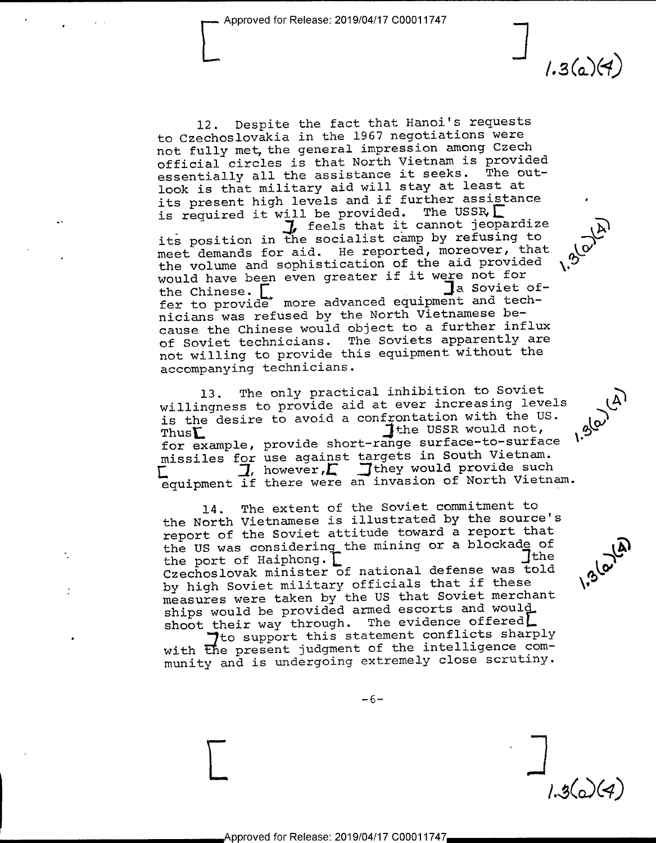$1.3(a)(4)$ 

٠

.  $\rightarrow$ 

 $\mathcal{G}^{\prime}$ 

 $\boldsymbol{\mu}$ 

.

\.'5

 $1.3(0)(4)$ 

 $\sqrt{2}$ 

l2. Despite the fact that Hanoi's requests to Czechoslovakia in the l967 negotiations were not fully met, the general impression among Czech official circles is that North Vietnam is provided essentially all the assistance it seeks. The outlook is that military aid will stay at least at its present high levels and if further assistance is required it will be provided. The USSR,  $\Gamma$ , feels that it cannot jeopardize Leels that it cannot jeopardize<br>I used than in the secialist camp by refusing to its position in the socialist camp by refusing to meet demands for aid. He reported, moreover, that the volume and sophistication of the aid provided would have been even greater if it were not for<br>the Chinese. the Chinese. [ Ja Soviet of-<br>fer to provide more advanced equipment and technicians was refused by the North Vietnamese because the Chinese would object to a further influx of Soviet technicians. The Soviets apparently are not willing to provide this equipment without the accompanying technicians.

13. The only practical inhibition to Soviet willingness to provide aid at ever increasing levels is the desire to avoid a confrontation with the US.<br>The USSR would not,  $\text{Thus}$   $\text{Thus}$   $\text{Thus}$   $\text{Thus}$   $\text{Thus}$   $\text{Thus}$   $\text{Thus}$   $\text{Thus}$   $\text{Thus}$   $\text{Thus}$   $\text{Thus}$   $\text{Thus}$   $\text{Thus}$   $\text{Thus}$   $\text{Thus}$   $\text{Thus}$   $\text{Thus}$   $\text{Thus}$   $\text{Thus}$   $\text{Thus}$   $\text{Thus}$   $\text{Thus}$   $\text{Thus}$   $\text{Thus}$   $\text{Thus}$   $\text{Thus}$   $\text{Thus}$   $\text{Thus$ for example, provide short-range surface-to-surface missiles for use against targets in South Vietnam.<br> $\Box$  however,  $\Box$  they would provide such I, however, I Tthey would provide such equipment if there were an invasion of North Vietnam.  $\cdot \int_{0}^{10^{3}}$  $\cdot$   $\sim$ 

14. The extent of the Soviet commitment to the North Vietnamese is illustrated by the source's report of the Soviet attitude toward a report that the US was considering the mining or a blockade of the port of Haiphong.  $\Gamma$ the port of Haiphong.  $\Gamma$  functional defense was told Czechoslovak minister of national defense was told by high Soviet military officials that if these measures were taken by the US that Soviet merchant ships would be provided armed escorts and would shoot their way through. The evidence offered<br>  $\bigcap_{t=0}^{\infty}$  to support this statement conflicts sharply

The support this statement conflicts sharply<br>with the present judgment of the intelligence community and is undergoing extremely close scrutiny.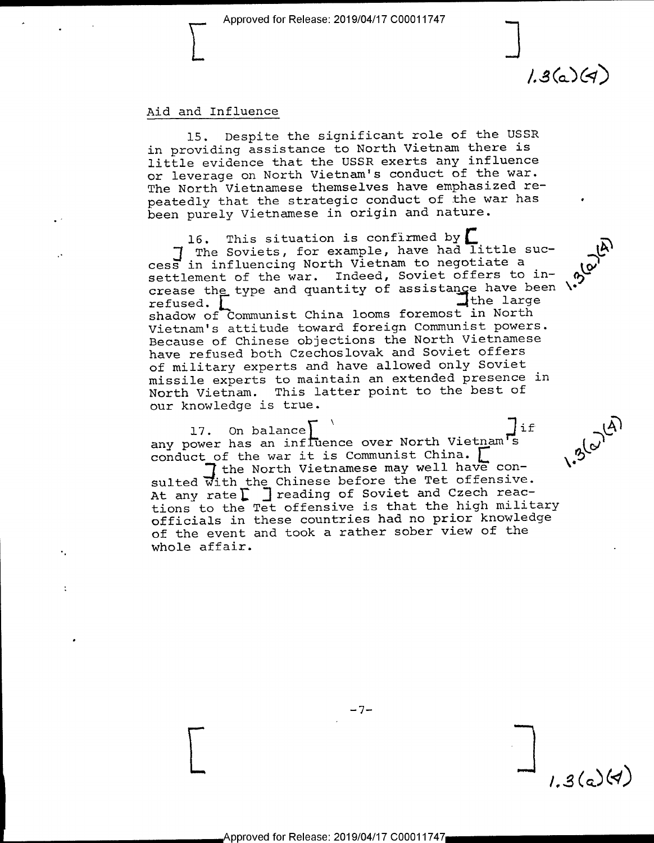\_ ا<br>.

 $1.3(a)(4)$ 

 $\mathcal{L}_{\bullet}$ 

 $1.3(a)(4)$ 

 $\overline{v}$ 

#### Aid and Influence

I

15. Despite the significant role of the USSR in providing assistance to North Vietnam there is little evidence that the USSR exerts any influence or leverage on North Vietnam's conduct of the war. The North Vietnamese themselves have emphasized repeatedly that the strategic conduct of the war has been purely Vietnamese in origin and nature.

16. This situation is confirmed by :1 The Soviets, for example, have had little success in influencing North Vietnam to negotiate <sup>a</sup> settlement of the war. Indeed, Soviet offers to increase the type and quantity of assistance have been refused. refused.<br>chadox of Communist China looms foremost in North shadow of Communist China looms foremost in North Vietnam's attitude toward foreign Communist powers. Because of Chinese objections the North Vietnamese have refused both Czechoslovak and Soviet offers of military experts and have allowed only Soviet missile experts to maintain an extended presence in North Vietnam. This latter point to the best of our knowledge is true.

17. On balance  $\begin{bmatrix} 1 & 0 & 0 \\ 0 & 0 & 0 \\ 0 & 0 & 0 \end{bmatrix}$  any power has an influence over North Vietnam s Lg)  $\begin{bmatrix} 1 & 0 \\ 0 & 0 \end{bmatrix}$  ( $\begin{bmatrix} 0 & 0 \\ 0 & 0 \end{bmatrix}$ 

 $\overline{I}$  the North Vietnamese may well have consulted With the Chinese before the Tet offensive. At any rate  $\Gamma$   $\Gamma$  reading of Soviet and Czech reactions to the Tet offensive is that the high military officials in these countries had no prior knowledge of the event and took a rather sober view of the whole affair.

 $-7-$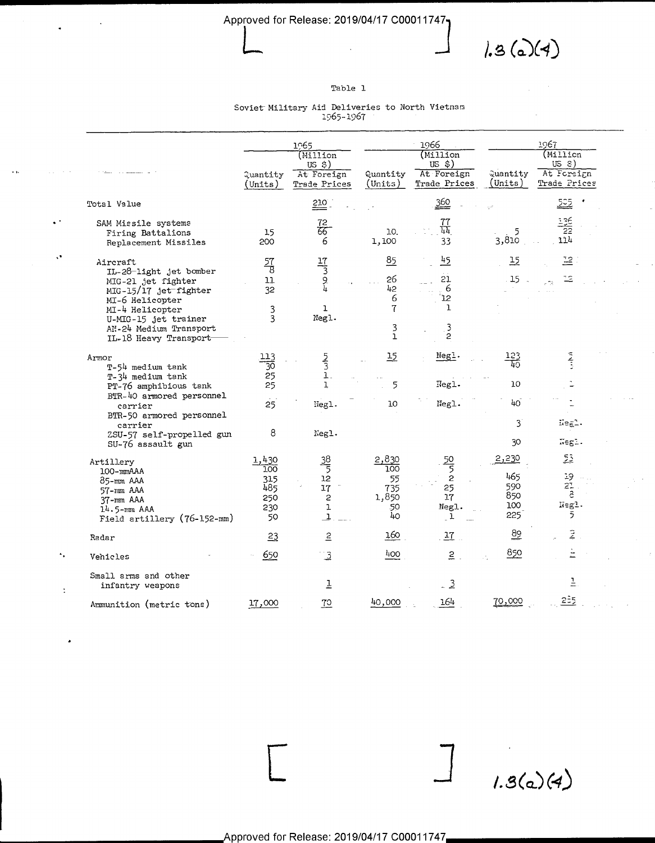

÷,

 $1.3(a)(4)$ 

### Table 1

# Soviet Military Aid Deliveries to North Vietnam  $1965 - 1967$

 $\ddot{\phantom{1}}$  ,

 $\ddot{\phantom{a}}$ 

 $\ddot{\cdot}$ 

|                                                                                                                                                                                                    |                                                                                   |                                                | 1965                                                  |                                                           | 1966                                             | 1967                                     |                                                   |
|----------------------------------------------------------------------------------------------------------------------------------------------------------------------------------------------------|-----------------------------------------------------------------------------------|------------------------------------------------|-------------------------------------------------------|-----------------------------------------------------------|--------------------------------------------------|------------------------------------------|---------------------------------------------------|
|                                                                                                                                                                                                    |                                                                                   | Quantity<br>(Units)                            | (Million<br>$US$ \$)<br>At Foreign<br>Trade Prices    | Quantity<br>(Units)                                       | (Million<br>US \$)<br>At Foreign<br>Trade Prices | Quantity<br>(Units)                      | (MiI1icn<br>$USS$ )<br>At Foreign<br>Trade Prices |
| Total Value                                                                                                                                                                                        |                                                                                   |                                                | 210                                                   |                                                           | 360                                              |                                          | <u> 525</u>                                       |
| SAM Missile systems<br>Firing Battalions<br>Replacement Missiles                                                                                                                                   |                                                                                   | 15<br>200                                      | 72<br>हेंद्र<br>6                                     | 10.<br>1,100                                              | $\frac{77}{44}$<br>33                            | 5<br>3,810                               | $\frac{136}{22}$<br>114                           |
| Aircraft<br>IL-28-light jet bomber<br>MIG-21 jet fighter<br>MIG-15/17 jet fighter<br>MI-6 Helicopter<br>MI-4 Helicopter<br>U-MIG-15 jet trainer<br>AN-24 Medium Transport<br>IL-18 Heavy Transport |                                                                                   | $\frac{57}{8}$<br>11<br>32<br>3<br>3           | $\frac{17}{3}$<br>9<br>4<br>$\mathbf{I}$<br>Negl.     | $\frac{85}{5}$<br>26<br>42<br>6<br>7<br>3<br>$\mathbf{1}$ | 45<br>21<br>6<br>12<br>ı<br>3<br>$\overline{c}$  | 15<br>15                                 | 꼬.<br>12                                          |
| Armor<br>T-54 medium tank<br>T-34 medium tank<br>PT-76 amphibious tank<br>carrier<br>carrier                                                                                                       | BTR-40 armored personnel<br>BTR-50 armored personnel<br>ZSU-57 self-propelled gun | 113<br>30<br>25<br>25<br>25<br>8               | $\frac{5}{3}$<br>$\mathbf{1}$<br>1.<br>Hegl.<br>Negl. | 15<br>5<br>10                                             | Negl.<br>Negl.<br>Negl.                          | $\frac{123}{40}$<br>10<br>40<br>3<br>30  | Negl.<br>Negl.                                    |
| SU-76 assault gun<br>Artillery<br>100-mmAAA<br>85-mm AAA<br>57-mm AAA<br>$37 - mm$ AAA<br>14.5-mm AAA                                                                                              | Field artillery (76-152-mm)                                                       | 1,430<br>100<br>315<br>485<br>250<br>230<br>50 | $\frac{38}{5}$<br>12<br>17<br>2<br>ı<br>$\mathbf{1}$  | 2,830<br>100<br>55<br>735<br>1,850<br>50<br>40            | $\frac{50}{5}$<br>2<br>25<br>17<br>Negl.<br>1    | 2,230<br>465<br>590<br>850<br>100<br>225 | 53<br>19<br>$2^{\circ}$<br>a<br>Negl.<br>5        |
| Radar                                                                                                                                                                                              |                                                                                   | $^{23}$                                        | $\overline{5}$                                        | 160                                                       | $\frac{17}{1}$                                   | $\frac{89}{1}$                           | Ž                                                 |
| Vehicles                                                                                                                                                                                           |                                                                                   | 650                                            | $\overline{3}$                                        | 400                                                       | $2$ .                                            | 850                                      |                                                   |
| Small arms and other<br>infantry weapons                                                                                                                                                           |                                                                                   |                                                | Ī                                                     |                                                           | $-3$                                             |                                          | $\overline{r}$                                    |
| Ammunition (metric tons)                                                                                                                                                                           |                                                                                   | 17,000                                         | $\overline{10}$                                       | 40,000                                                    | 164                                              | 70,000                                   | 2 <sup>2</sup> 5                                  |